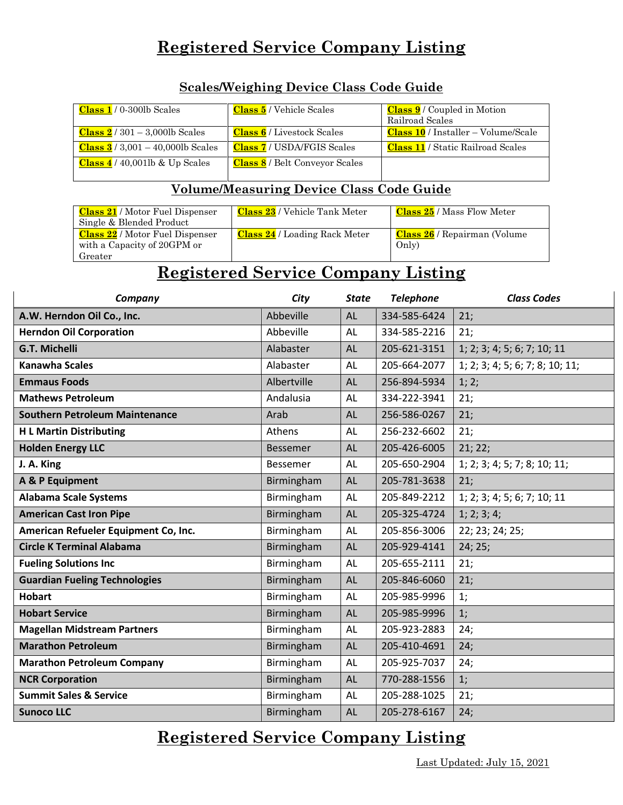| <b>Class 5</b> / Vehicle Scales       | <b>Class 9</b> / Coupled in Motion       |
|---------------------------------------|------------------------------------------|
|                                       | Railroad Scales                          |
| <b>Class 6</b> / Livestock Scales     | $Class 10 / Institute - Volume/Scale$    |
| <b>Class 7</b> / USDA/FGIS Scales     | <b>Class 11</b> / Static Railroad Scales |
| <b>Class 8</b> / Belt Conveyor Scales |                                          |
|                                       |                                          |

#### **Scales/Weighing Device Class Code Guide**

#### **Volume/Measuring Device Class Code Guide**

| <b>Class 21</b> / Motor Fuel Dispenser<br>Single & Blended Product               | Class 23 / Vehicle Tank Meter        | <b>Class 25</b> / Mass Flow Meter            |
|----------------------------------------------------------------------------------|--------------------------------------|----------------------------------------------|
| <b>Class 22</b> / Motor Fuel Dispenser<br>with a Capacity of 20GPM or<br>Greater | <b>Class 24</b> / Loading Rack Meter | <b>Class 26</b> / Repairman (Volume<br>Only) |

#### **Registered Service Company Listing**

| Company                               | City            | <b>State</b> | <b>Telephone</b> | <b>Class Codes</b>              |
|---------------------------------------|-----------------|--------------|------------------|---------------------------------|
| A.W. Herndon Oil Co., Inc.            | Abbeville       | AL           | 334-585-6424     | 21:                             |
| <b>Herndon Oil Corporation</b>        | Abbeville       | AL           | 334-585-2216     | 21:                             |
| <b>G.T. Michelli</b>                  | Alabaster       | <b>AL</b>    | 205-621-3151     | 1; 2; 3; 4; 5; 6; 7; 10; 11     |
| <b>Kanawha Scales</b>                 | Alabaster       | AL           | 205-664-2077     | 1; 2; 3; 4; 5; 6; 7; 8; 10; 11; |
| <b>Emmaus Foods</b>                   | Albertville     | AL           | 256-894-5934     | 1; 2;                           |
| <b>Mathews Petroleum</b>              | Andalusia       | AL           | 334-222-3941     | 21:                             |
| <b>Southern Petroleum Maintenance</b> | Arab            | AL           | 256-586-0267     | 21;                             |
| <b>H L Martin Distributing</b>        | Athens          | AL           | 256-232-6602     | 21;                             |
| <b>Holden Energy LLC</b>              | <b>Bessemer</b> | AL           | 205-426-6005     | 21; 22;                         |
| J. A. King                            | <b>Bessemer</b> | <b>AL</b>    | 205-650-2904     | 1; 2; 3; 4; 5; 7; 8; 10; 11;    |
| A & P Equipment                       | Birmingham      | AL           | 205-781-3638     | 21:                             |
| <b>Alabama Scale Systems</b>          | Birmingham      | AL           | 205-849-2212     | 1; 2; 3; 4; 5; 6; 7; 10; 11     |
| <b>American Cast Iron Pipe</b>        | Birmingham      | AL           | 205-325-4724     | 1; 2; 3; 4;                     |
| American Refueler Equipment Co, Inc.  | Birmingham      | AL           | 205-856-3006     | 22; 23; 24; 25;                 |
| <b>Circle K Terminal Alabama</b>      | Birmingham      | AL           | 205-929-4141     | 24; 25;                         |
| <b>Fueling Solutions Inc</b>          | Birmingham      | AL           | 205-655-2111     | 21;                             |
| <b>Guardian Fueling Technologies</b>  | Birmingham      | AL           | 205-846-6060     | 21:                             |
| <b>Hobart</b>                         | Birmingham      | AL           | 205-985-9996     | 1;                              |
| <b>Hobart Service</b>                 | Birmingham      | <b>AL</b>    | 205-985-9996     | 1;                              |
| <b>Magellan Midstream Partners</b>    | Birmingham      | AL           | 205-923-2883     | 24;                             |
| <b>Marathon Petroleum</b>             | Birmingham      | AL           | 205-410-4691     | 24;                             |
| <b>Marathon Petroleum Company</b>     | Birmingham      | AL           | 205-925-7037     | 24;                             |
| <b>NCR Corporation</b>                | Birmingham      | <b>AL</b>    | 770-288-1556     | 1;                              |
| <b>Summit Sales &amp; Service</b>     | Birmingham      | AL           | 205-288-1025     | 21;                             |
| <b>Sunoco LLC</b>                     | Birmingham      | <b>AL</b>    | 205-278-6167     | 24;                             |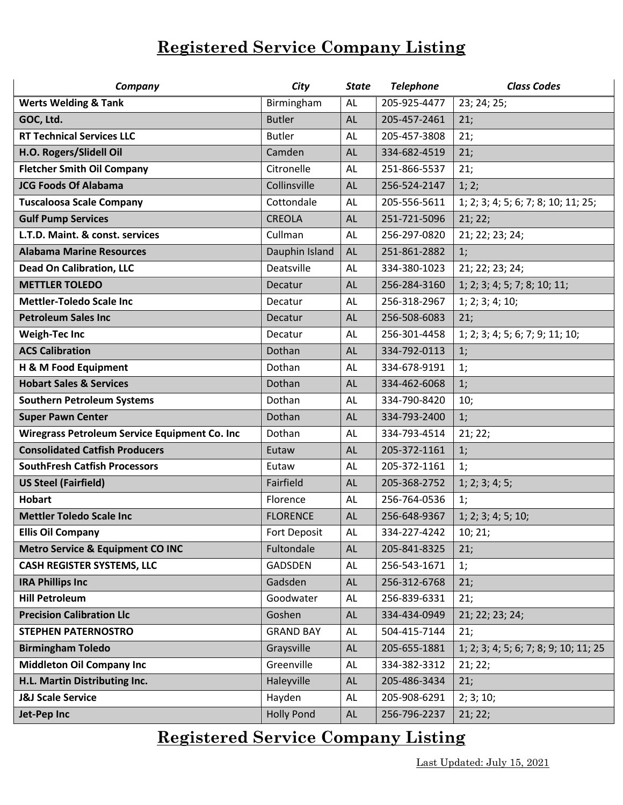| Company                                       | City              | <b>State</b> | <b>Telephone</b> | <b>Class Codes</b>                    |
|-----------------------------------------------|-------------------|--------------|------------------|---------------------------------------|
| <b>Werts Welding &amp; Tank</b>               | Birmingham        | AL           | 205-925-4477     | 23; 24; 25;                           |
| GOC, Ltd.                                     | <b>Butler</b>     | AL           | 205-457-2461     | 21:                                   |
| <b>RT Technical Services LLC</b>              | <b>Butler</b>     | AL           | 205-457-3808     | 21;                                   |
| H.O. Rogers/Slidell Oil                       | Camden            | <b>AL</b>    | 334-682-4519     | 21;                                   |
| <b>Fletcher Smith Oil Company</b>             | Citronelle        | AL           | 251-866-5537     | 21;                                   |
| <b>JCG Foods Of Alabama</b>                   | Collinsville      | <b>AL</b>    | 256-524-2147     | 1; 2;                                 |
| <b>Tuscaloosa Scale Company</b>               | Cottondale        | AL           | 205-556-5611     | 1; 2; 3; 4; 5; 6; 7; 8; 10; 11; 25;   |
| <b>Gulf Pump Services</b>                     | <b>CREOLA</b>     | <b>AL</b>    | 251-721-5096     | 21; 22;                               |
| L.T.D. Maint. & const. services               | Cullman           | AL           | 256-297-0820     | 21; 22; 23; 24;                       |
| <b>Alabama Marine Resources</b>               | Dauphin Island    | <b>AL</b>    | 251-861-2882     | 1;                                    |
| <b>Dead On Calibration, LLC</b>               | Deatsville        | AL           | 334-380-1023     | 21; 22; 23; 24;                       |
| <b>METTLER TOLEDO</b>                         | Decatur           | AL           | 256-284-3160     | 1; 2; 3; 4; 5; 7; 8; 10; 11;          |
| <b>Mettler-Toledo Scale Inc.</b>              | Decatur           | AL           | 256-318-2967     | 1; 2; 3; 4; 10;                       |
| <b>Petroleum Sales Inc</b>                    | Decatur           | <b>AL</b>    | 256-508-6083     | 21;                                   |
| <b>Weigh-Tec Inc</b>                          | Decatur           | AL           | 256-301-4458     | 1; 2; 3; 4; 5; 6; 7; 9; 11; 10;       |
| <b>ACS Calibration</b>                        | Dothan            | AL           | 334-792-0113     | 1;                                    |
| H & M Food Equipment                          | Dothan            | AL           | 334-678-9191     | 1;                                    |
| <b>Hobart Sales &amp; Services</b>            | Dothan            | <b>AL</b>    | 334-462-6068     | 1;                                    |
| <b>Southern Petroleum Systems</b>             | Dothan            | AL           | 334-790-8420     | 10;                                   |
| <b>Super Pawn Center</b>                      | Dothan            | <b>AL</b>    | 334-793-2400     | 1;                                    |
| Wiregrass Petroleum Service Equipment Co. Inc | Dothan            | AL           | 334-793-4514     | 21; 22;                               |
| <b>Consolidated Catfish Producers</b>         | Eutaw             | <b>AL</b>    | 205-372-1161     | 1;                                    |
| <b>SouthFresh Catfish Processors</b>          | Eutaw             | <b>AL</b>    | 205-372-1161     | 1;                                    |
| <b>US Steel (Fairfield)</b>                   | Fairfield         | <b>AL</b>    | 205-368-2752     | 1; 2; 3; 4; 5;                        |
| <b>Hobart</b>                                 | Florence          | AL           | 256-764-0536     | 1;                                    |
| <b>Mettler Toledo Scale Inc</b>               | <b>FLORENCE</b>   | AL           | 256-648-9367     | 1; 2; 3; 4; 5; 10;                    |
| <b>Ellis Oil Company</b>                      | Fort Deposit      | <b>AL</b>    | 334-227-4242     | 10; 21;                               |
| <b>Metro Service &amp; Equipment CO INC</b>   | Fultondale        | AL.          | 205-841-8325     | 21;                                   |
| <b>CASH REGISTER SYSTEMS, LLC</b>             | GADSDEN           | AL           | 256-543-1671     | 1;                                    |
| <b>IRA Phillips Inc</b>                       | Gadsden           | <b>AL</b>    | 256-312-6768     | 21;                                   |
| <b>Hill Petroleum</b>                         | Goodwater         | AL           | 256-839-6331     | 21;                                   |
| <b>Precision Calibration Llc</b>              | Goshen            | AL           | 334-434-0949     | 21; 22; 23; 24;                       |
| <b>STEPHEN PATERNOSTRO</b>                    | <b>GRAND BAY</b>  | AL           | 504-415-7144     | 21;                                   |
| <b>Birmingham Toledo</b>                      | Graysville        | <b>AL</b>    | 205-655-1881     | 1; 2; 3; 4; 5; 6; 7; 8; 9; 10; 11; 25 |
| <b>Middleton Oil Company Inc</b>              | Greenville        | AL           | 334-382-3312     | 21; 22;                               |
| H.L. Martin Distributing Inc.                 | Haleyville        | <b>AL</b>    | 205-486-3434     | 21;                                   |
| <b>J&amp;J Scale Service</b>                  | Hayden            | AL           | 205-908-6291     | 2; 3; 10;                             |
| Jet-Pep Inc                                   | <b>Holly Pond</b> | AL           | 256-796-2237     | 21; 22;                               |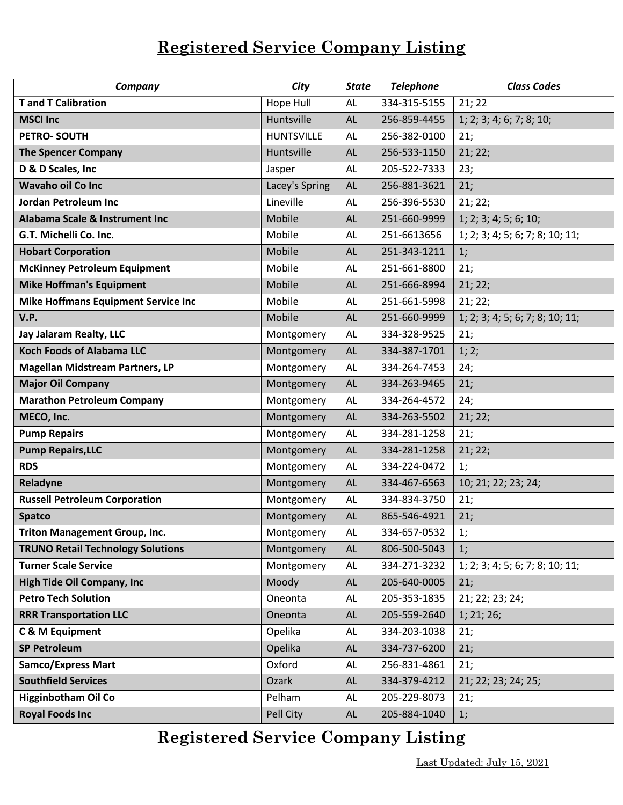| Company                                    | City              | <b>State</b> | <b>Telephone</b> | <b>Class Codes</b>              |
|--------------------------------------------|-------------------|--------------|------------------|---------------------------------|
| <b>T</b> and <b>T</b> Calibration          | Hope Hull         | AL           | 334-315-5155     | 21; 22                          |
| <b>MSCI Inc</b>                            | Huntsville        | AL           | 256-859-4455     | 1; 2; 3; 4; 6; 7; 8; 10;        |
| PETRO-SOUTH                                | <b>HUNTSVILLE</b> | AL           | 256-382-0100     | 21;                             |
| <b>The Spencer Company</b>                 | Huntsville        | <b>AL</b>    | 256-533-1150     | 21; 22;                         |
| D & D Scales, Inc                          | Jasper            | AL           | 205-522-7333     | 23;                             |
| <b>Wavaho oil Co Inc</b>                   | Lacey's Spring    | <b>AL</b>    | 256-881-3621     | 21;                             |
| <b>Jordan Petroleum Inc</b>                | Lineville         | AL           | 256-396-5530     | 21; 22;                         |
| Alabama Scale & Instrument Inc             | Mobile            | AL           | 251-660-9999     | 1; 2; 3; 4; 5; 6; 10;           |
| G.T. Michelli Co. Inc.                     | Mobile            | <b>AL</b>    | 251-6613656      | 1; 2; 3; 4; 5; 6; 7; 8; 10; 11; |
| <b>Hobart Corporation</b>                  | Mobile            | <b>AL</b>    | 251-343-1211     | 1;                              |
| <b>McKinney Petroleum Equipment</b>        | Mobile            | AL           | 251-661-8800     | 21;                             |
| <b>Mike Hoffman's Equipment</b>            | Mobile            | AL           | 251-666-8994     | 21; 22;                         |
| <b>Mike Hoffmans Equipment Service Inc</b> | Mobile            | AL           | 251-661-5998     | 21; 22;                         |
| V.P.                                       | Mobile            | AL           | 251-660-9999     | 1; 2; 3; 4; 5; 6; 7; 8; 10; 11; |
| Jay Jalaram Realty, LLC                    | Montgomery        | AL           | 334-328-9525     | 21;                             |
| <b>Koch Foods of Alabama LLC</b>           | Montgomery        | AL           | 334-387-1701     | 1; 2;                           |
| <b>Magellan Midstream Partners, LP</b>     | Montgomery        | AL           | 334-264-7453     | 24;                             |
| <b>Major Oil Company</b>                   | Montgomery        | AL           | 334-263-9465     | 21;                             |
| <b>Marathon Petroleum Company</b>          | Montgomery        | AL           | 334-264-4572     | 24;                             |
| MECO, Inc.                                 | Montgomery        | AL           | 334-263-5502     | 21; 22;                         |
| <b>Pump Repairs</b>                        | Montgomery        | AL           | 334-281-1258     | 21;                             |
| <b>Pump Repairs, LLC</b>                   | Montgomery        | AL           | 334-281-1258     | 21; 22;                         |
| <b>RDS</b>                                 | Montgomery        | AL           | 334-224-0472     | 1;                              |
| Reladyne                                   | Montgomery        | <b>AL</b>    | 334-467-6563     | 10; 21; 22; 23; 24;             |
| <b>Russell Petroleum Corporation</b>       | Montgomery        | AL           | 334-834-3750     | 21;                             |
| <b>Spatco</b>                              | Montgomery        | AL           | 865-546-4921     | 21;                             |
| <b>Triton Management Group, Inc.</b>       | Montgomery        | AL           | 334-657-0532     | 1;                              |
| <b>TRUNO Retail Technology Solutions</b>   | Montgomery        | <b>AL</b>    | 806-500-5043     | 1;                              |
| <b>Turner Scale Service</b>                | Montgomery        | AL           | 334-271-3232     | 1; 2; 3; 4; 5; 6; 7; 8; 10; 11; |
| <b>High Tide Oil Company, Inc.</b>         | Moody             | AL           | 205-640-0005     | 21;                             |
| <b>Petro Tech Solution</b>                 | Oneonta           | AL           | 205-353-1835     | 21; 22; 23; 24;                 |
| <b>RRR Transportation LLC</b>              | Oneonta           | AL           | 205-559-2640     | 1; 21; 26;                      |
| C & M Equipment                            | Opelika           | AL           | 334-203-1038     | 21;                             |
| <b>SP Petroleum</b>                        | Opelika           | <b>AL</b>    | 334-737-6200     | 21;                             |
| <b>Samco/Express Mart</b>                  | Oxford            | AL           | 256-831-4861     | 21;                             |
| <b>Southfield Services</b>                 | Ozark             | AL           | 334-379-4212     | 21; 22; 23; 24; 25;             |
| <b>Higginbotham Oil Co</b>                 | Pelham            | AL           | 205-229-8073     | 21;                             |
| <b>Royal Foods Inc</b>                     | Pell City         | AL           | 205-884-1040     | 1;                              |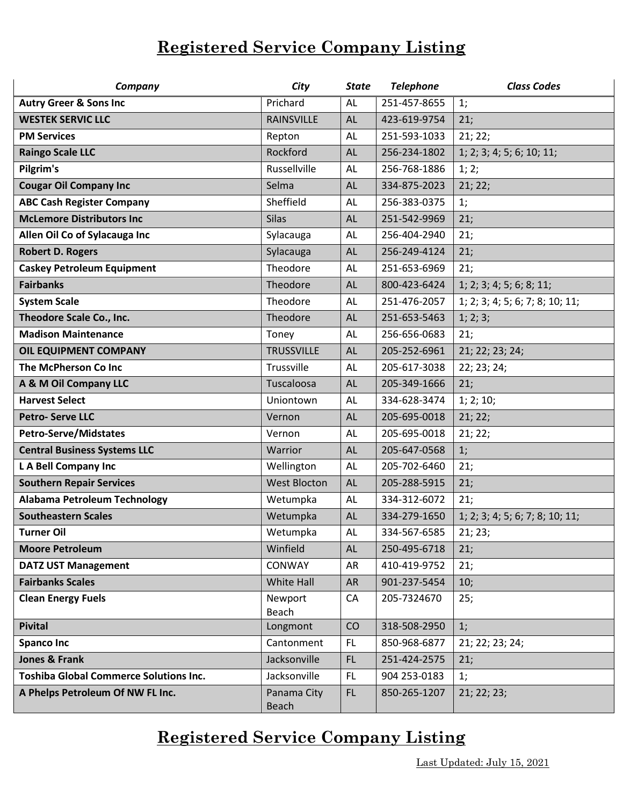| Company                                       | City                       | <b>State</b> | <b>Telephone</b>             | <b>Class Codes</b>              |
|-----------------------------------------------|----------------------------|--------------|------------------------------|---------------------------------|
| <b>Autry Greer &amp; Sons Inc</b>             | Prichard                   | AL           | 251-457-8655                 | 1;                              |
| <b>WESTEK SERVIC LLC</b>                      | <b>RAINSVILLE</b>          | AL           | 423-619-9754                 | 21;                             |
| <b>PM Services</b>                            | Repton                     | AL           | 251-593-1033                 | 21; 22;                         |
| <b>Raingo Scale LLC</b>                       | Rockford                   | <b>AL</b>    | 256-234-1802                 | 1; 2; 3; 4; 5; 6; 10; 11;       |
| Pilgrim's                                     | Russellville               | <b>AL</b>    | 256-768-1886                 | 1; 2;                           |
| <b>Cougar Oil Company Inc</b>                 | Selma                      | <b>AL</b>    | 334-875-2023                 | 21; 22;                         |
| <b>ABC Cash Register Company</b>              | Sheffield                  | AL           | 256-383-0375                 | 1;                              |
| <b>McLemore Distributors Inc</b>              | <b>Silas</b>               | <b>AL</b>    | 251-542-9969                 | 21;                             |
| Allen Oil Co of Sylacauga Inc                 | Sylacauga                  | AL           | 256-404-2940                 | 21;                             |
| <b>Robert D. Rogers</b>                       | Sylacauga                  | <b>AL</b>    | 256-249-4124                 | 21;                             |
| <b>Caskey Petroleum Equipment</b>             | Theodore                   | AL           | 251-653-6969                 | 21;                             |
| <b>Fairbanks</b>                              | Theodore                   | AL           | 800-423-6424                 | 1; 2; 3; 4; 5; 6; 8; 11;        |
| <b>System Scale</b>                           | Theodore                   | AL           | 251-476-2057                 | 1; 2; 3; 4; 5; 6; 7; 8; 10; 11; |
| Theodore Scale Co., Inc.                      | Theodore                   | AL           | 251-653-5463                 | 1; 2; 3;                        |
| <b>Madison Maintenance</b>                    | Toney                      | AL           | 256-656-0683                 | 21;                             |
| OIL EQUIPMENT COMPANY                         | <b>TRUSSVILLE</b>          | <b>AL</b>    | 205-252-6961                 | 21; 22; 23; 24;                 |
| The McPherson Co Inc                          | Trussville                 | <b>AL</b>    | 205-617-3038                 | 22; 23; 24;                     |
| A & M Oil Company LLC                         | Tuscaloosa                 | AL           | 205-349-1666                 | 21;                             |
| <b>Harvest Select</b>                         | Uniontown                  | AL           | 334-628-3474                 | 1; 2; 10;                       |
| <b>Petro-Serve LLC</b>                        | Vernon                     | <b>AL</b>    | 205-695-0018                 | 21; 22;                         |
| <b>Petro-Serve/Midstates</b>                  | Vernon                     | AL           | 205-695-0018                 | 21; 22;                         |
| <b>Central Business Systems LLC</b>           | Warrior                    | <b>AL</b>    | 205-647-0568                 | 1;                              |
| L A Bell Company Inc                          | Wellington                 | AL           | 205-702-6460                 | 21;                             |
| <b>Southern Repair Services</b>               | <b>West Blocton</b>        | <b>AL</b>    | 205-288-5915                 | 21;                             |
| <b>Alabama Petroleum Technology</b>           | Wetumpka                   | AL           | 334-312-6072                 | 21;                             |
| <b>Southeastern Scales</b>                    | Wetumpka                   | AL           | 334-279-1650                 | 1; 2; 3; 4; 5; 6; 7; 8; 10; 11; |
| <b>Turner Oil</b>                             | Wetumpka                   | AL           | 334-567-6585                 | 21; 23;                         |
| <b>Moore Petroleum</b>                        | Winfield                   | AL.          | 250-495-6718                 | 21;                             |
| <b>DATZ UST Management</b>                    | CONWAY                     | AR           | 410-419-9752                 | 21;                             |
| <b>Fairbanks Scales</b>                       | White Hall                 | <b>AR</b>    | 901-237-5454                 | 10;                             |
| <b>Clean Energy Fuels</b>                     | Newport                    | CA           | 205-7324670                  | 25;                             |
|                                               | Beach                      |              |                              |                                 |
| <b>Pivital</b>                                | Longmont                   | CO           | 318-508-2950                 | 1;                              |
| <b>Spanco Inc</b><br>Jones & Frank            | Cantonment<br>Jacksonville | FL.<br>FL.   | 850-968-6877<br>251-424-2575 | 21; 22; 23; 24;                 |
|                                               |                            |              |                              | 21;                             |
| <b>Toshiba Global Commerce Solutions Inc.</b> | Jacksonville               | FL.          | 904 253-0183                 | 1;                              |
| A Phelps Petroleum Of NW FL Inc.              | Panama City<br>Beach       | FL.          | 850-265-1207                 | 21; 22; 23;                     |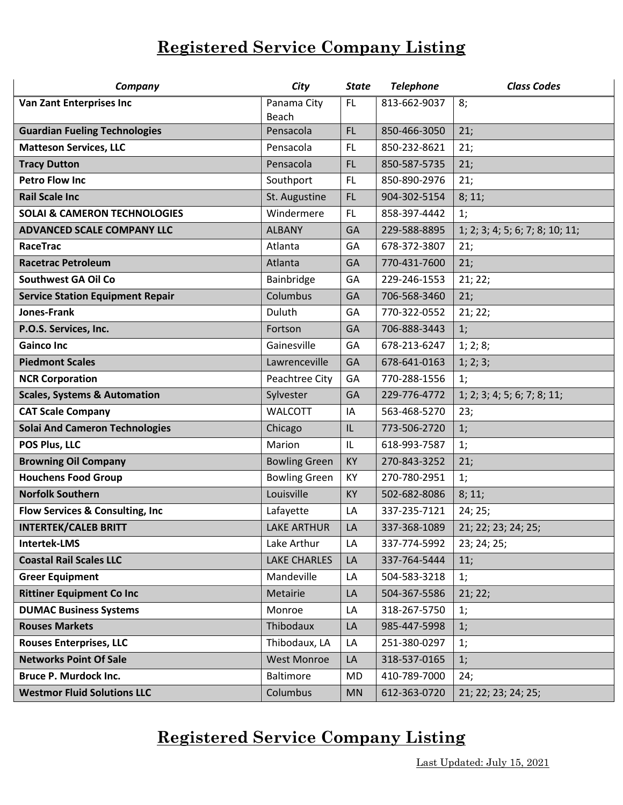| Company                                 | City                 | <b>State</b> | <b>Telephone</b> | <b>Class Codes</b>              |
|-----------------------------------------|----------------------|--------------|------------------|---------------------------------|
| <b>Van Zant Enterprises Inc</b>         | Panama City          | <b>FL</b>    | 813-662-9037     | 8;                              |
|                                         | <b>Beach</b>         |              |                  |                                 |
| <b>Guardian Fueling Technologies</b>    | Pensacola            | <b>FL</b>    | 850-466-3050     | 21;                             |
| <b>Matteson Services, LLC</b>           | Pensacola            | FL.          | 850-232-8621     | 21:                             |
| <b>Tracy Dutton</b>                     | Pensacola            | FL           | 850-587-5735     | 21;                             |
| <b>Petro Flow Inc</b>                   | Southport            | FL           | 850-890-2976     | 21;                             |
| <b>Rail Scale Inc</b>                   | St. Augustine        | <b>FL</b>    | 904-302-5154     | 8; 11;                          |
| <b>SOLAI &amp; CAMERON TECHNOLOGIES</b> | Windermere           | FL.          | 858-397-4442     | 1;                              |
| <b>ADVANCED SCALE COMPANY LLC</b>       | <b>ALBANY</b>        | GA           | 229-588-8895     | 1; 2; 3; 4; 5; 6; 7; 8; 10; 11; |
| RaceTrac                                | Atlanta              | GA           | 678-372-3807     | 21;                             |
| <b>Racetrac Petroleum</b>               | Atlanta              | GA           | 770-431-7600     | 21;                             |
| <b>Southwest GA Oil Co</b>              | Bainbridge           | GA           | 229-246-1553     | 21; 22;                         |
| <b>Service Station Equipment Repair</b> | Columbus             | GA           | 706-568-3460     | 21;                             |
| Jones-Frank                             | Duluth               | GA           | 770-322-0552     | 21; 22;                         |
| P.O.S. Services, Inc.                   | Fortson              | GA           | 706-888-3443     | 1;                              |
| <b>Gainco Inc</b>                       | Gainesville          | GA           | 678-213-6247     | 1; 2; 8;                        |
| <b>Piedmont Scales</b>                  | Lawrenceville        | GA           | 678-641-0163     | 1; 2; 3;                        |
| <b>NCR Corporation</b>                  | Peachtree City       | GA           | 770-288-1556     | 1:                              |
| <b>Scales, Systems &amp; Automation</b> | Sylvester            | GA           | 229-776-4772     | 1; 2; 3; 4; 5; 6; 7; 8; 11;     |
| <b>CAT Scale Company</b>                | <b>WALCOTT</b>       | IA           | 563-468-5270     | 23;                             |
| <b>Solai And Cameron Technologies</b>   | Chicago              | IL           | 773-506-2720     | 1;                              |
| POS Plus, LLC                           | Marion               | IL           | 618-993-7587     | 1;                              |
| <b>Browning Oil Company</b>             | <b>Bowling Green</b> | KY           | 270-843-3252     | 21;                             |
| <b>Houchens Food Group</b>              | <b>Bowling Green</b> | KY           | 270-780-2951     | 1;                              |
| <b>Norfolk Southern</b>                 | Louisville           | KY           | 502-682-8086     | 8; 11;                          |
| Flow Services & Consulting, Inc         | Lafayette            | LA           | 337-235-7121     | 24; 25;                         |
| <b>INTERTEK/CALEB BRITT</b>             | <b>LAKE ARTHUR</b>   | LA           | 337-368-1089     | 21; 22; 23; 24; 25;             |
| <b>Intertek-LMS</b>                     | Lake Arthur          | LA           | 337-774-5992     | 23; 24; 25;                     |
| <b>Coastal Rail Scales LLC</b>          | <b>LAKE CHARLES</b>  | LA           | 337-764-5444     | 11;                             |
| <b>Greer Equipment</b>                  | Mandeville           | LA           | 504-583-3218     | 1;                              |
| <b>Rittiner Equipment Co Inc</b>        | Metairie             | LA           | 504-367-5586     | 21; 22;                         |
| <b>DUMAC Business Systems</b>           | Monroe               | LA           | 318-267-5750     | 1;                              |
| <b>Rouses Markets</b>                   | Thibodaux            | LA           | 985-447-5998     | 1;                              |
| <b>Rouses Enterprises, LLC</b>          | Thibodaux, LA        | LA           | 251-380-0297     | 1;                              |
| <b>Networks Point Of Sale</b>           | <b>West Monroe</b>   | LA           | 318-537-0165     | 1;                              |
| <b>Bruce P. Murdock Inc.</b>            | <b>Baltimore</b>     | <b>MD</b>    | 410-789-7000     | 24;                             |
| <b>Westmor Fluid Solutions LLC</b>      | Columbus             | <b>MN</b>    | 612-363-0720     | 21; 22; 23; 24; 25;             |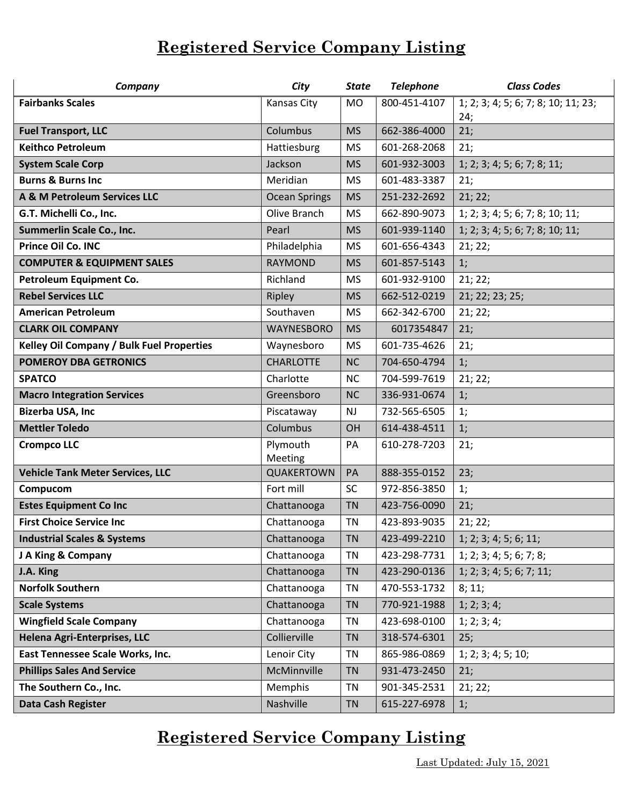| Company                                          | City                 | <b>State</b> | <b>Telephone</b> | <b>Class Codes</b>                         |
|--------------------------------------------------|----------------------|--------------|------------------|--------------------------------------------|
| <b>Fairbanks Scales</b>                          | Kansas City          | <b>MO</b>    | 800-451-4107     | 1; 2; 3; 4; 5; 6; 7; 8; 10; 11; 23;<br>24; |
| <b>Fuel Transport, LLC</b>                       | Columbus             | <b>MS</b>    | 662-386-4000     | 21;                                        |
| <b>Keithco Petroleum</b>                         | Hattiesburg          | <b>MS</b>    | 601-268-2068     | 21;                                        |
| <b>System Scale Corp</b>                         | Jackson              | <b>MS</b>    | 601-932-3003     | 1; 2; 3; 4; 5; 6; 7; 8; 11;                |
| <b>Burns &amp; Burns Inc</b>                     | Meridian             | <b>MS</b>    | 601-483-3387     | 21;                                        |
| A & M Petroleum Services LLC                     | <b>Ocean Springs</b> | <b>MS</b>    | 251-232-2692     | 21; 22;                                    |
| G.T. Michelli Co., Inc.                          | Olive Branch         | <b>MS</b>    | 662-890-9073     | 1; 2; 3; 4; 5; 6; 7; 8; 10; 11;            |
| Summerlin Scale Co., Inc.                        | Pearl                | <b>MS</b>    | 601-939-1140     | 1; 2; 3; 4; 5; 6; 7; 8; 10; 11;            |
| Prince Oil Co. INC                               | Philadelphia         | <b>MS</b>    | 601-656-4343     | 21; 22;                                    |
| <b>COMPUTER &amp; EQUIPMENT SALES</b>            | <b>RAYMOND</b>       | <b>MS</b>    | 601-857-5143     | 1;                                         |
| Petroleum Equipment Co.                          | Richland             | <b>MS</b>    | 601-932-9100     | 21; 22;                                    |
| <b>Rebel Services LLC</b>                        | Ripley               | <b>MS</b>    | 662-512-0219     | 21; 22; 23; 25;                            |
| <b>American Petroleum</b>                        | Southaven            | <b>MS</b>    | 662-342-6700     | 21; 22;                                    |
| <b>CLARK OIL COMPANY</b>                         | <b>WAYNESBORO</b>    | <b>MS</b>    | 6017354847       | 21;                                        |
| <b>Kelley Oil Company / Bulk Fuel Properties</b> | Waynesboro           | <b>MS</b>    | 601-735-4626     | 21;                                        |
| <b>POMEROY DBA GETRONICS</b>                     | <b>CHARLOTTE</b>     | <b>NC</b>    | 704-650-4794     | 1;                                         |
| <b>SPATCO</b>                                    | Charlotte            | <b>NC</b>    | 704-599-7619     | 21; 22;                                    |
| <b>Macro Integration Services</b>                | Greensboro           | <b>NC</b>    | 336-931-0674     | 1;                                         |
| <b>Bizerba USA, Inc</b>                          | Piscataway           | <b>NJ</b>    | 732-565-6505     | 1;                                         |
| <b>Mettler Toledo</b>                            | Columbus             | OH           | 614-438-4511     | 1;                                         |
| <b>Crompco LLC</b>                               | Plymouth<br>Meeting  | PA           | 610-278-7203     | 21;                                        |
| <b>Vehicle Tank Meter Services, LLC</b>          | QUAKERTOWN           | PA           | 888-355-0152     | 23;                                        |
| Compucom                                         | Fort mill            | <b>SC</b>    | 972-856-3850     | 1;                                         |
| <b>Estes Equipment Co Inc</b>                    | Chattanooga          | <b>TN</b>    | 423-756-0090     | 21;                                        |
| <b>First Choice Service Inc</b>                  | Chattanooga          | <b>TN</b>    | 423-893-9035     | 21; 22;                                    |
| <b>Industrial Scales &amp; Systems</b>           | Chattanooga          | ΤN           | 423-499-2210     | 1; 2; 3; 4; 5; 6; 11;                      |
| J A King & Company                               | Chattanooga          | <b>TN</b>    | 423-298-7731     | 1; 2; 3; 4; 5; 6; 7; 8;                    |
| J.A. King                                        | Chattanooga          | <b>TN</b>    | 423-290-0136     | 1; 2; 3; 4; 5; 6; 7; 11;                   |
| <b>Norfolk Southern</b>                          | Chattanooga          | TN           | 470-553-1732     | 8; 11;                                     |
| <b>Scale Systems</b>                             | Chattanooga          | <b>TN</b>    | 770-921-1988     | 1; 2; 3; 4;                                |
| <b>Wingfield Scale Company</b>                   | Chattanooga          | TN           | 423-698-0100     | 1; 2; 3; 4;                                |
| Helena Agri-Enterprises, LLC                     | Collierville         | <b>TN</b>    | 318-574-6301     | 25;                                        |
| East Tennessee Scale Works, Inc.                 | Lenoir City          | TN           | 865-986-0869     | 1; 2; 3; 4; 5; 10;                         |
| <b>Phillips Sales And Service</b>                | McMinnville          | <b>TN</b>    | 931-473-2450     | 21;                                        |
| The Southern Co., Inc.                           | Memphis              | TN           | 901-345-2531     | 21; 22;                                    |
| Data Cash Register                               | Nashville            | <b>TN</b>    | 615-227-6978     | 1;                                         |